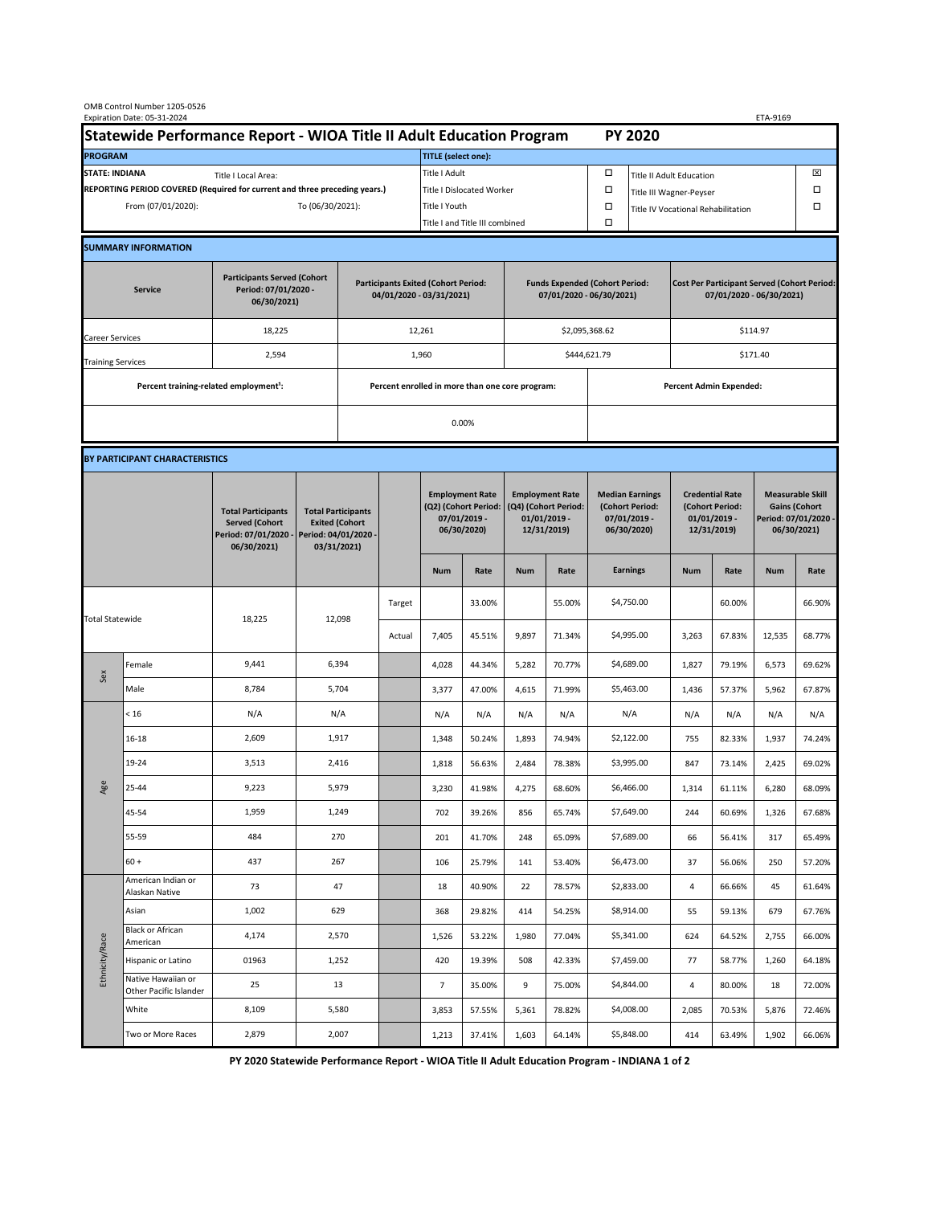| OMB Control Number 1205-0526<br>Expiration Date: 05-31-2024<br>ETA-9169                     |                                                    |                                                                                           |                                                                                           |                                                                        |                                |                                                                               |               |                                                                                 |        |                                                                            |                                                                                |                                                                            |        |                                                                                        |        |  |
|---------------------------------------------------------------------------------------------|----------------------------------------------------|-------------------------------------------------------------------------------------------|-------------------------------------------------------------------------------------------|------------------------------------------------------------------------|--------------------------------|-------------------------------------------------------------------------------|---------------|---------------------------------------------------------------------------------|--------|----------------------------------------------------------------------------|--------------------------------------------------------------------------------|----------------------------------------------------------------------------|--------|----------------------------------------------------------------------------------------|--------|--|
| Statewide Performance Report - WIOA Title II Adult Education Program                        |                                                    |                                                                                           |                                                                                           |                                                                        |                                | <b>PY 2020</b>                                                                |               |                                                                                 |        |                                                                            |                                                                                |                                                                            |        |                                                                                        |        |  |
| <b>PROGRAM</b>                                                                              |                                                    |                                                                                           |                                                                                           |                                                                        |                                | <b>TITLE</b> (select one):                                                    |               |                                                                                 |        |                                                                            |                                                                                |                                                                            |        |                                                                                        |        |  |
| <b>STATE: INDIANA</b><br>Title I Local Area:                                                |                                                    |                                                                                           |                                                                                           |                                                                        |                                | Title I Adult                                                                 |               |                                                                                 |        | □<br><b>Title II Adult Education</b>                                       |                                                                                |                                                                            |        |                                                                                        | ⊠      |  |
| REPORTING PERIOD COVERED (Required for current and three preceding years.)                  |                                                    |                                                                                           |                                                                                           |                                                                        | Title I Dislocated Worker      |                                                                               |               |                                                                                 |        | Ω                                                                          | Title III Wagner-Peyser                                                        |                                                                            |        |                                                                                        |        |  |
| From (07/01/2020):                                                                          |                                                    |                                                                                           |                                                                                           | To (06/30/2021):                                                       |                                |                                                                               | Title I Youth |                                                                                 |        | $\Box$                                                                     | Title IV Vocational Rehabilitation                                             |                                                                            |        |                                                                                        | □      |  |
|                                                                                             |                                                    |                                                                                           |                                                                                           |                                                                        | Title I and Title III combined |                                                                               |               |                                                                                 | Ω      |                                                                            |                                                                                |                                                                            |        |                                                                                        |        |  |
|                                                                                             | <b>SUMMARY INFORMATION</b>                         |                                                                                           |                                                                                           |                                                                        |                                |                                                                               |               |                                                                                 |        |                                                                            |                                                                                |                                                                            |        |                                                                                        |        |  |
| <b>Participants Served (Cohort</b><br>Period: 07/01/2020 -<br><b>Service</b><br>06/30/2021) |                                                    |                                                                                           |                                                                                           | <b>Participants Exited (Cohort Period:</b><br>04/01/2020 - 03/31/2021) |                                |                                                                               |               | <b>Funds Expended (Cohort Period:</b><br>07/01/2020 - 06/30/2021)               |        |                                                                            | <b>Cost Per Participant Served (Cohort Period:</b><br>07/01/2020 - 06/30/2021) |                                                                            |        |                                                                                        |        |  |
| Career Services                                                                             |                                                    | 18,225                                                                                    |                                                                                           |                                                                        |                                | 12,261                                                                        |               |                                                                                 |        | \$2,095,368.62                                                             |                                                                                | \$114.97                                                                   |        |                                                                                        |        |  |
| <b>Training Services</b>                                                                    |                                                    | 2,594                                                                                     |                                                                                           | 1,960                                                                  |                                |                                                                               |               |                                                                                 |        | \$444,621.79                                                               |                                                                                | \$171.40                                                                   |        |                                                                                        |        |  |
|                                                                                             | Percent training-related employment <sup>1</sup> : |                                                                                           | Percent enrolled in more than one core program:                                           |                                                                        |                                |                                                                               |               |                                                                                 |        |                                                                            |                                                                                | <b>Percent Admin Expended:</b>                                             |        |                                                                                        |        |  |
|                                                                                             |                                                    |                                                                                           |                                                                                           |                                                                        |                                |                                                                               |               |                                                                                 |        |                                                                            |                                                                                |                                                                            |        |                                                                                        |        |  |
|                                                                                             |                                                    |                                                                                           |                                                                                           |                                                                        |                                |                                                                               | 0.00%         |                                                                                 |        |                                                                            |                                                                                |                                                                            |        |                                                                                        |        |  |
|                                                                                             | BY PARTICIPANT CHARACTERISTICS                     |                                                                                           |                                                                                           |                                                                        |                                |                                                                               |               |                                                                                 |        |                                                                            |                                                                                |                                                                            |        |                                                                                        |        |  |
|                                                                                             |                                                    | <b>Total Participants</b><br><b>Served (Cohort</b><br>Period: 07/01/2020 -<br>06/30/2021) | <b>Total Participants</b><br><b>Exited (Cohort</b><br>Period: 04/01/2020 -<br>03/31/2021) |                                                                        |                                | <b>Employment Rate</b><br>(Q2) (Cohort Period:<br>07/01/2019 -<br>06/30/2020) |               | <b>Employment Rate</b><br>(Q4) (Cohort Period:<br>$01/01/2019$ -<br>12/31/2019) |        | <b>Median Earnings</b><br>(Cohort Period:<br>$07/01/2019 -$<br>06/30/2020) |                                                                                | <b>Credential Rate</b><br>(Cohort Period:<br>$01/01/2019$ -<br>12/31/2019) |        | <b>Measurable Skill</b><br><b>Gains (Cohort</b><br>Period: 07/01/2020 -<br>06/30/2021) |        |  |
|                                                                                             |                                                    |                                                                                           |                                                                                           |                                                                        |                                | <b>Num</b>                                                                    | Rate          | <b>Num</b>                                                                      | Rate   |                                                                            | <b>Earnings</b>                                                                | <b>Num</b>                                                                 | Rate   | <b>Num</b>                                                                             | Rate   |  |
| <b>Total Statewide</b>                                                                      |                                                    | 18,225                                                                                    | 12,098                                                                                    |                                                                        | Target                         |                                                                               | 33.00%        |                                                                                 | 55.00% |                                                                            | \$4,750.00                                                                     |                                                                            | 60.00% |                                                                                        | 66.90% |  |
|                                                                                             |                                                    |                                                                                           |                                                                                           |                                                                        | Actual                         | 7,405                                                                         | 45.51%        | 9,897                                                                           | 71.34% |                                                                            | \$4,995.00                                                                     | 3,263                                                                      | 67.83% | 12,535                                                                                 | 68.77% |  |
| Sex                                                                                         | Female                                             | 9,441                                                                                     | 6,394                                                                                     |                                                                        |                                | 4,028                                                                         | 44.34%        | 5,282                                                                           | 70.77% |                                                                            | \$4,689.00                                                                     | 1,827                                                                      | 79.19% | 6,573                                                                                  | 69.62% |  |
|                                                                                             | Male                                               | 8,784                                                                                     | 5,704                                                                                     |                                                                        |                                | 3,377                                                                         | 47.00%        | 4,615                                                                           | 71.99% |                                                                            | \$5,463.00                                                                     | 1,436                                                                      | 57.37% | 5,962                                                                                  | 67.87% |  |
| Age                                                                                         | < 16                                               | N/A                                                                                       | N/A                                                                                       |                                                                        |                                | N/A                                                                           | N/A           | N/A                                                                             | N/A    |                                                                            | N/A                                                                            | N/A                                                                        | N/A    | N/A                                                                                    | N/A    |  |
|                                                                                             | $16 - 18$                                          | 2,609                                                                                     | 1,917                                                                                     |                                                                        |                                | 1,348                                                                         | 50.24%        | 1,893                                                                           | 74.94% |                                                                            | \$2,122.00                                                                     | 755                                                                        | 82.33% | 1,937                                                                                  | 74.24% |  |
|                                                                                             | 19-24                                              | 3,513                                                                                     | 2,416                                                                                     |                                                                        |                                | 1,818                                                                         | 56.63%        | 2,484                                                                           | 78.38% |                                                                            | \$3,995.00                                                                     | 847                                                                        | 73.14% | 2,425                                                                                  | 69.02% |  |
|                                                                                             | 25-44                                              | 9,223                                                                                     | 5,979                                                                                     |                                                                        |                                | 3,230                                                                         | 41.98%        | 4,275                                                                           | 68.60% |                                                                            | \$6,466.00                                                                     | 1,314                                                                      | 61.11% | 6,280                                                                                  | 68.09% |  |
|                                                                                             | 45-54                                              | 1,959                                                                                     | 1,249                                                                                     |                                                                        |                                | 702                                                                           | 39.26%        | 856                                                                             | 65.74% |                                                                            | \$7,649.00                                                                     | 244                                                                        | 60.69% | 1,326                                                                                  | 67.68% |  |
|                                                                                             | 55-59                                              | 484                                                                                       | 270                                                                                       |                                                                        |                                | 201                                                                           | 41.70%        | 248                                                                             | 65.09% |                                                                            | \$7,689.00                                                                     | 66                                                                         | 56.41% | 317                                                                                    | 65.49% |  |
|                                                                                             | $60 +$                                             | 437                                                                                       | 267                                                                                       |                                                                        |                                | 106                                                                           | 25.79%        | 141                                                                             | 53.40% |                                                                            | \$6,473.00                                                                     | 37                                                                         | 56.06% | 250                                                                                    | 57.20% |  |
| Ethnicity/Race                                                                              | American Indian or<br>Alaskan Native               | 73                                                                                        | 47                                                                                        |                                                                        |                                | 18                                                                            | 40.90%        | 22                                                                              | 78.57% |                                                                            | \$2,833.00                                                                     | 4                                                                          | 66.66% | 45                                                                                     | 61.64% |  |
|                                                                                             | Asian                                              | 1,002                                                                                     | 629                                                                                       |                                                                        |                                | 368                                                                           | 29.82%        | 414                                                                             | 54.25% |                                                                            | \$8,914.00                                                                     | 55                                                                         | 59.13% | 679                                                                                    | 67.76% |  |
|                                                                                             | Black or African<br>American                       | 4,174                                                                                     | 2,570                                                                                     |                                                                        |                                | 1,526                                                                         | 53.22%        | 1,980                                                                           | 77.04% |                                                                            | \$5,341.00                                                                     | 624                                                                        | 64.52% | 2,755                                                                                  | 66.00% |  |
|                                                                                             | Hispanic or Latino                                 | 01963                                                                                     | 1,252                                                                                     |                                                                        |                                | 420                                                                           | 19.39%        | 508                                                                             | 42.33% |                                                                            | \$7,459.00                                                                     | 77                                                                         | 58.77% | 1,260                                                                                  | 64.18% |  |
|                                                                                             | Native Hawaiian or<br>Other Pacific Islander       | 25                                                                                        | 13                                                                                        |                                                                        |                                | $\overline{7}$                                                                | 35.00%        | 9                                                                               | 75.00% |                                                                            | \$4,844.00                                                                     | 4                                                                          | 80.00% | 18                                                                                     | 72.00% |  |
|                                                                                             | White                                              | 8,109                                                                                     | 5,580                                                                                     |                                                                        |                                | 3,853                                                                         | 57.55%        | 5,361                                                                           | 78.82% |                                                                            | \$4,008.00                                                                     | 2,085                                                                      | 70.53% | 5,876                                                                                  | 72.46% |  |
|                                                                                             | Two or More Races                                  | 2,879                                                                                     | 2,007                                                                                     |                                                                        |                                | 1,213                                                                         | 37.41%        | 1,603                                                                           | 64.14% |                                                                            | \$5,848.00                                                                     | 414                                                                        | 63.49% | 1,902                                                                                  | 66.06% |  |

**PY 2020 Statewide Performance Report - WIOA Title II Adult Education Program - INDIANA 1 of 2**